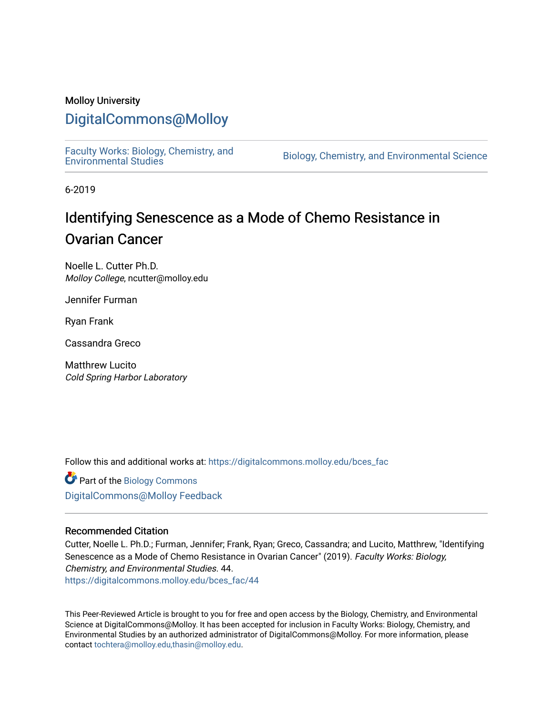## Molloy University

## [DigitalCommons@Molloy](https://digitalcommons.molloy.edu/)

[Faculty Works: Biology, Chemistry, and](https://digitalcommons.molloy.edu/bces_fac) 

Biology, Chemistry, and Environmental Science

6-2019

# Identifying Senescence as a Mode of Chemo Resistance in Ovarian Cancer

Noelle L. Cutter Ph.D. Molloy College, ncutter@molloy.edu

Jennifer Furman

Ryan Frank

Cassandra Greco

Matthrew Lucito Cold Spring Harbor Laboratory

Follow this and additional works at: [https://digitalcommons.molloy.edu/bces\\_fac](https://digitalcommons.molloy.edu/bces_fac?utm_source=digitalcommons.molloy.edu%2Fbces_fac%2F44&utm_medium=PDF&utm_campaign=PDFCoverPages)

Part of the [Biology Commons](https://network.bepress.com/hgg/discipline/41?utm_source=digitalcommons.molloy.edu%2Fbces_fac%2F44&utm_medium=PDF&utm_campaign=PDFCoverPages)  [DigitalCommons@Molloy Feedback](https://molloy.libwizard.com/f/dcfeedback)

#### Recommended Citation

Cutter, Noelle L. Ph.D.; Furman, Jennifer; Frank, Ryan; Greco, Cassandra; and Lucito, Matthrew, "Identifying Senescence as a Mode of Chemo Resistance in Ovarian Cancer" (2019). Faculty Works: Biology, Chemistry, and Environmental Studies. 44. [https://digitalcommons.molloy.edu/bces\\_fac/44](https://digitalcommons.molloy.edu/bces_fac/44?utm_source=digitalcommons.molloy.edu%2Fbces_fac%2F44&utm_medium=PDF&utm_campaign=PDFCoverPages) 

This Peer-Reviewed Article is brought to you for free and open access by the Biology, Chemistry, and Environmental Science at DigitalCommons@Molloy. It has been accepted for inclusion in Faculty Works: Biology, Chemistry, and Environmental Studies by an authorized administrator of DigitalCommons@Molloy. For more information, please contact [tochtera@molloy.edu,thasin@molloy.edu.](mailto:tochtera@molloy.edu,thasin@molloy.edu)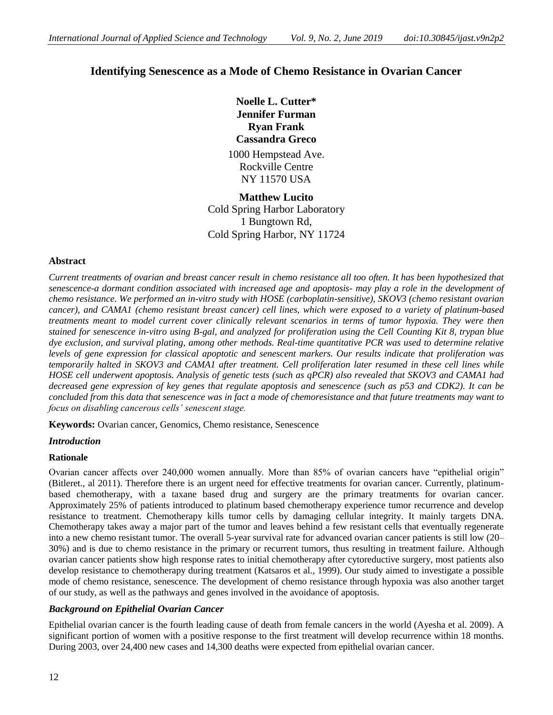## **Identifying Senescence as a Mode of Chemo Resistance in Ovarian Cancer**

**Noelle L. Cutter\* Jennifer Furman Ryan Frank Cassandra Greco** 1000 Hempstead Ave. Rockville Centre NY 11570 USA

**Matthew Lucito** Cold Spring Harbor Laboratory 1 Bungtown Rd, Cold Spring Harbor, NY 11724

## **Abstract**

*Current treatments of ovarian and breast cancer result in chemo resistance all too often. It has been hypothesized that senescence-a dormant condition associated with increased age and apoptosis- may play a role in the development of chemo resistance. We performed an in-vitro study with HOSE (carboplatin-sensitive), SKOV3 (chemo resistant ovarian cancer), and CAMA1 (chemo resistant breast cancer) cell lines, which were exposed to a variety of platinum-based treatments meant to model current cover clinically relevant scenarios in terms of tumor hypoxia. They were then stained for senescence in-vitro using B-gal, and analyzed for proliferation using the Cell Counting Kit 8, trypan blue dye exclusion, and survival plating, among other methods. Real-time quantitative PCR was used to determine relative levels of gene expression for classical apoptotic and senescent markers. Our results indicate that proliferation was temporarily halted in SKOV3 and CAMA1 after treatment. Cell proliferation later resumed in these cell lines while HOSE cell underwent apoptosis. Analysis of genetic tests (such as qPCR) also revealed that SKOV3 and CAMA1 had decreased gene expression of key genes that regulate apoptosis and senescence (such as p53 and CDK2). It can be concluded from this data that senescence was in fact a mode of chemoresistance and that future treatments may want to focus on disabling cancerous cells' senescent stage.*

**Keywords:** Ovarian cancer, Genomics, Chemo resistance, Senescence

## *Introduction*

## **Rationale**

Ovarian cancer affects over 240,000 women annually. More than 85% of ovarian cancers have "epithelial origin" (Bitleret., al 2011). Therefore there is an urgent need for effective treatments for ovarian cancer. Currently, platinumbased chemotherapy, with a taxane based drug and surgery are the primary treatments for ovarian cancer. Approximately 25% of patients introduced to platinum based chemotherapy experience tumor recurrence and develop resistance to treatment. Chemotherapy kills tumor cells by damaging cellular integrity. It mainly targets DNA. Chemotherapy takes away a major part of the tumor and leaves behind a few resistant cells that eventually regenerate into a new chemo resistant tumor. The overall 5-year survival rate for advanced ovarian cancer patients is still low (20– 30%) and is due to chemo resistance in the primary or recurrent tumors, thus resulting in treatment failure. Although ovarian cancer patients show high response rates to initial chemotherapy after cytoreductive surgery, most patients also develop resistance to chemotherapy during treatment (Katsaros et al., 1999). Our study aimed to investigate a possible mode of chemo resistance, senescence. The development of chemo resistance through hypoxia was also another target of our study, as well as the pathways and genes involved in the avoidance of apoptosis.

## *Background on Epithelial Ovarian Cancer*

Epithelial ovarian cancer is the fourth leading cause of death from female cancers in the world (Ayesha et al. 2009). A significant portion of women with a positive response to the first treatment will develop recurrence within 18 months. During 2003, over 24,400 new cases and 14,300 deaths were expected from epithelial ovarian cancer.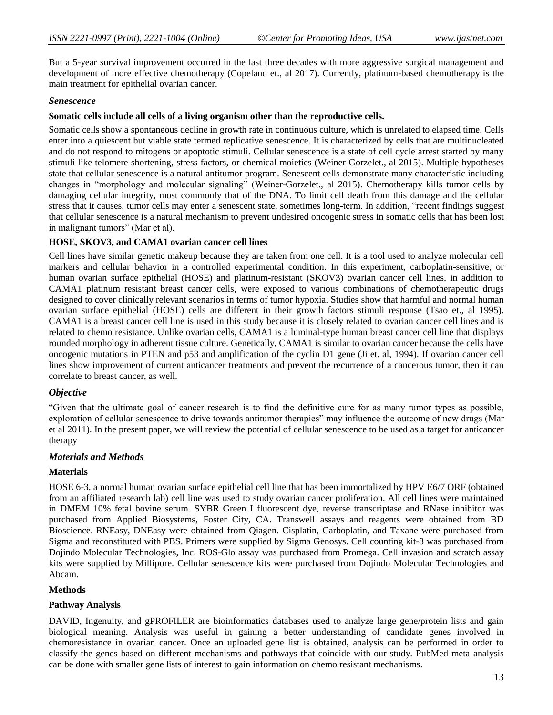But a 5-year survival improvement occurred in the last three decades with more aggressive surgical management and development of more effective chemotherapy (Copeland et., al 2017). Currently, platinum-based chemotherapy is the main treatment for epithelial ovarian cancer.

#### *Senescence*

#### **Somatic cells include all cells of a living organism other than the reproductive cells.**

Somatic cells show a spontaneous decline in growth rate in continuous culture, which is unrelated to elapsed time. Cells enter into a quiescent but viable state termed replicative senescence. It is characterized by cells that are multinucleated and do not respond to mitogens or apoptotic stimuli. Cellular senescence is a state of cell cycle arrest started by many stimuli like telomere shortening, stress factors, or chemical moieties (Weiner-Gorzelet., al 2015). Multiple hypotheses state that cellular senescence is a natural antitumor program. Senescent cells demonstrate many characteristic including changes in "morphology and molecular signaling" (Weiner-Gorzelet., al 2015). Chemotherapy kills tumor cells by damaging cellular integrity, most commonly that of the DNA. To limit cell death from this damage and the cellular stress that it causes, tumor cells may enter a senescent state, sometimes long-term. In addition, "recent findings suggest that cellular senescence is a natural mechanism to prevent undesired oncogenic stress in somatic cells that has been lost in malignant tumors" (Mar et al).

#### **HOSE, SKOV3, and CAMA1 ovarian cancer cell lines**

Cell lines have similar genetic makeup because they are taken from one cell. It is a tool used to analyze molecular cell markers and cellular behavior in a controlled experimental condition. In this experiment, carboplatin-sensitive, or human ovarian surface epithelial (HOSE) and platinum-resistant (SKOV3) ovarian cancer cell lines, in addition to CAMA1 platinum resistant breast cancer cells, were exposed to various combinations of chemotherapeutic drugs designed to cover clinically relevant scenarios in terms of tumor hypoxia. Studies show that harmful and normal human ovarian surface epithelial (HOSE) cells are different in their growth factors stimuli response (Tsao et., al 1995). CAMA1 is a breast cancer cell line is used in this study because it is closely related to ovarian cancer cell lines and is related to chemo resistance. Unlike ovarian cells, CAMA1 is a luminal-type human breast cancer cell line that displays rounded morphology in adherent tissue culture. Genetically, CAMA1 is similar to ovarian cancer because the cells have oncogenic mutations in PTEN and p53 and amplification of the cyclin D1 gene (Ji et. al, 1994). If ovarian cancer cell lines show improvement of current anticancer treatments and prevent the recurrence of a cancerous tumor, then it can correlate to breast cancer, as well.

#### *Objective*

"Given that the ultimate goal of cancer research is to find the definitive cure for as many tumor types as possible, exploration of cellular senescence to drive towards antitumor therapies" may influence the outcome of new drugs (Mar et al 2011). In the present paper, we will review the potential of cellular senescence to be used as a target for anticancer therapy

#### *Materials and Methods*

#### **Materials**

HOSE 6-3, a normal human ovarian surface epithelial cell line that has been immortalized by HPV E6/7 ORF (obtained from an affiliated research lab) cell line was used to study ovarian cancer proliferation. All cell lines were maintained in DMEM 10% fetal bovine serum. SYBR Green I fluorescent dye, reverse transcriptase and RNase inhibitor was purchased from Applied Biosystems, Foster City, CA. Transwell assays and reagents were obtained from BD Bioscience. RNEasy, DNEasy were obtained from Qiagen. Cisplatin, Carboplatin, and Taxane were purchased from Sigma and reconstituted with PBS. Primers were supplied by Sigma Genosys. Cell counting kit-8 was purchased from Dojindo Molecular Technologies, Inc. ROS-Glo assay was purchased from Promega. Cell invasion and scratch assay kits were supplied by Millipore. Cellular senescence kits were purchased from Dojindo Molecular Technologies and Abcam.

#### **Methods**

#### **Pathway Analysis**

DAVID, Ingenuity, and gPROFILER are bioinformatics databases used to analyze large gene/protein lists and gain biological meaning. Analysis was useful in gaining a better understanding of candidate genes involved in chemoresistance in ovarian cancer. Once an uploaded gene list is obtained, analysis can be performed in order to classify the genes based on different mechanisms and pathways that coincide with our study. PubMed meta analysis can be done with smaller gene lists of interest to gain information on chemo resistant mechanisms.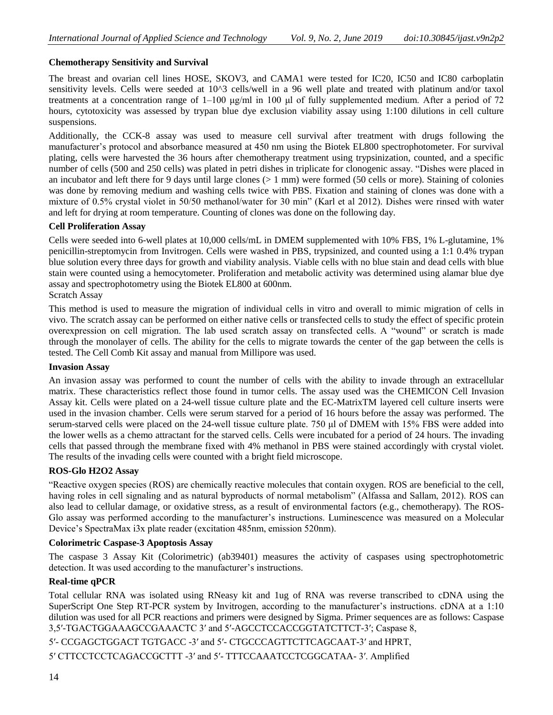## **Chemotherapy Sensitivity and Survival**

The breast and ovarian cell lines HOSE, SKOV3, and CAMA1 were tested for IC20, IC50 and IC80 carboplatin sensitivity levels. Cells were seeded at 10^3 cells/well in a 96 well plate and treated with platinum and/or taxol treatments at a concentration range of 1–100 μg/ml in 100 μl of fully supplemented medium. After a period of 72 hours, cytotoxicity was assessed by trypan blue dye exclusion viability assay using 1:100 dilutions in cell culture suspensions.

Additionally, the CCK-8 assay was used to measure cell survival after treatment with drugs following the manufacturer's protocol and absorbance measured at 450 nm using the Biotek EL800 spectrophotometer. For survival plating, cells were harvested the 36 hours after chemotherapy treatment using trypsinization, counted, and a specific number of cells (500 and 250 cells) was plated in petri dishes in triplicate for clonogenic assay. "Dishes were placed in an incubator and left there for 9 days until large clones  $(> 1 \text{ mm})$  were formed (50 cells or more). Staining of colonies was done by removing medium and washing cells twice with PBS. Fixation and staining of clones was done with a mixture of 0.5% crystal violet in 50/50 methanol/water for 30 min" (Karl et al 2012). Dishes were rinsed with water and left for drying at room temperature. Counting of clones was done on the following day.

## **Cell Proliferation Assay**

Cells were seeded into 6-well plates at 10,000 cells/mL in DMEM supplemented with 10% FBS, 1% L-glutamine, 1% penicillin-streptomycin from Invitrogen. Cells were washed in PBS, trypsinized, and counted using a 1:1 0.4% trypan blue solution every three days for growth and viability analysis. Viable cells with no blue stain and dead cells with blue stain were counted using a hemocytometer. Proliferation and metabolic activity was determined using alamar blue dye assay and spectrophotometry using the Biotek EL800 at 600nm. Scratch Assay

This method is used to measure the migration of individual cells in vitro and overall to mimic migration of cells in vivo. The scratch assay can be performed on either native cells or transfected cells to study the effect of specific protein overexpression on cell migration. The lab used scratch assay on transfected cells. A "wound" or scratch is made through the monolayer of cells. The ability for the cells to migrate towards the center of the gap between the cells is tested. The Cell Comb Kit assay and manual from Millipore was used.

## **Invasion Assay**

An invasion assay was performed to count the number of cells with the ability to invade through an extracellular matrix. These characteristics reflect those found in tumor cells. The assay used was the CHEMICON Cell Invasion Assay kit. Cells were plated on a 24-well tissue culture plate and the EC-MatrixTM layered cell culture inserts were used in the invasion chamber. Cells were serum starved for a period of 16 hours before the assay was performed. The serum-starved cells were placed on the 24-well tissue culture plate. 750 μl of DMEM with 15% FBS were added into the lower wells as a chemo attractant for the starved cells. Cells were incubated for a period of 24 hours. The invading cells that passed through the membrane fixed with 4% methanol in PBS were stained accordingly with crystal violet. The results of the invading cells were counted with a bright field microscope.

## **ROS-Glo H2O2 Assay**

"Reactive oxygen species (ROS) are chemically reactive molecules that contain oxygen. ROS are beneficial to the cell, having roles in cell signaling and as natural byproducts of normal metabolism" (Alfassa and Sallam, 2012). ROS can also lead to cellular damage, or oxidative stress, as a result of environmental factors (e.g., chemotherapy). The ROS-Glo assay was performed according to the manufacturer's instructions. Luminescence was measured on a Molecular Device's SpectraMax i3x plate reader (excitation 485nm, emission 520nm).

## **Colorimetric Caspase-3 Apoptosis Assay**

The caspase 3 Assay Kit (Colorimetric) (ab39401) measures the activity of caspases using spectrophotometric detection. It was used according to the manufacturer's instructions.

## **Real-time qPCR**

Total cellular RNA was isolated using RNeasy kit and 1ug of RNA was reverse transcribed to cDNA using the SuperScript One Step RT-PCR system by Invitrogen, according to the manufacturer's instructions. cDNA at a 1:10 dilution was used for all PCR reactions and primers were designed by Sigma. Primer sequences are as follows: Caspase 3,5′-TGACTGGAAAGCCGAAACTC 3′ and 5′-AGCCTCCACCGGTATCTTCT-3′; Caspase 8,

5′- CCGAGCTGGACT TGTGACC -3′ and 5′- CTGCCCAGTTCTTCAGCAAT-3′ and HPRT,

5′ CTTCCTCCTCAGACCGCTTT -3′ and 5′- TTTCCAAATCCTCGGCATAA- 3′. Amplified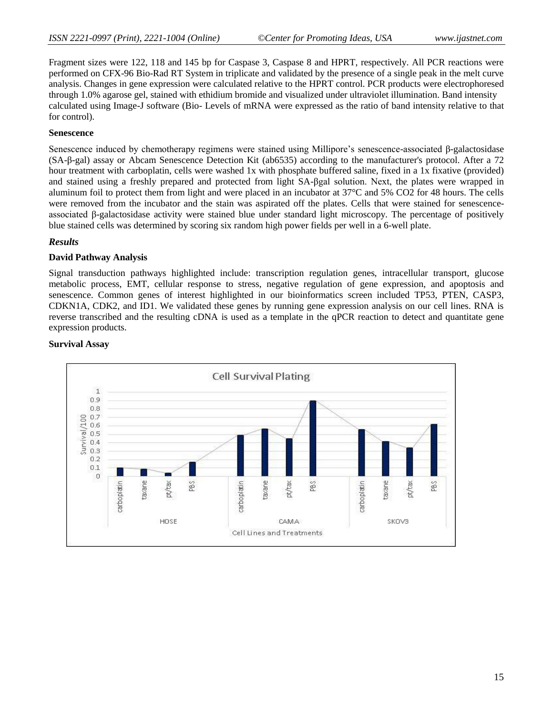Fragment sizes were 122, 118 and 145 bp for Caspase 3, Caspase 8 and HPRT, respectively. All PCR reactions were performed on CFX-96 Bio-Rad RT System in triplicate and validated by the presence of a single peak in the melt curve analysis. Changes in gene expression were calculated relative to the HPRT control. PCR products were electrophoresed through 1.0% agarose gel, stained with ethidium bromide and visualized under ultraviolet illumination. Band intensity calculated using Image-J software (Bio- Levels of mRNA were expressed as the ratio of band intensity relative to that for control).

#### **Senescence**

Senescence induced by chemotherapy regimens were stained using Millipore's senescence-associated β-galactosidase (SA-β-gal) assay or Abcam Senescence Detection Kit (ab6535) according to the manufacturer's protocol. After a 72 hour treatment with carboplatin, cells were washed 1x with phosphate buffered saline, fixed in a 1x fixative (provided) and stained using a freshly prepared and protected from light SA-βgal solution. Next, the plates were wrapped in aluminum foil to protect them from light and were placed in an incubator at 37°C and 5% CO2 for 48 hours. The cells were removed from the incubator and the stain was aspirated off the plates. Cells that were stained for senescenceassociated β-galactosidase activity were stained blue under standard light microscopy. The percentage of positively blue stained cells was determined by scoring six random high power fields per well in a 6-well plate.

## *Results*

#### **David Pathway Analysis**

Signal transduction pathways highlighted include: transcription regulation genes, intracellular transport, glucose metabolic process, EMT, cellular response to stress, negative regulation of gene expression, and apoptosis and senescence. Common genes of interest highlighted in our bioinformatics screen included TP53, PTEN, CASP3, CDKN1A, CDK2, and ID1. We validated these genes by running gene expression analysis on our cell lines. RNA is reverse transcribed and the resulting cDNA is used as a template in the qPCR reaction to detect and quantitate gene expression products.

#### **Survival Assay**

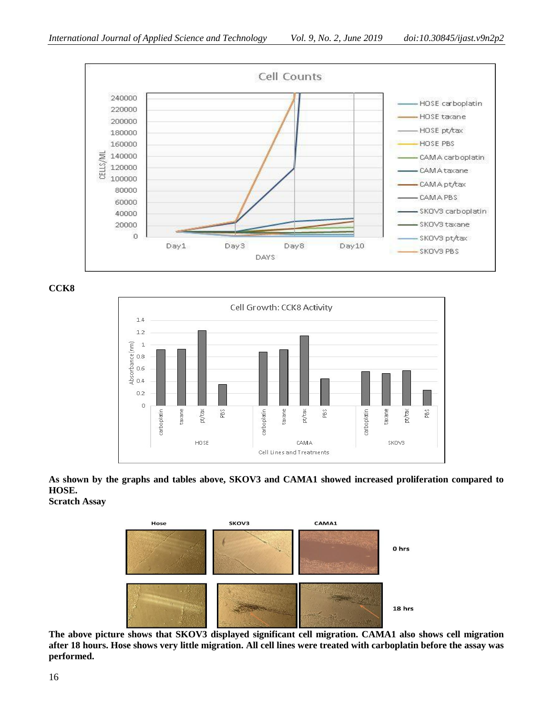

**CCK8**



**As shown by the graphs and tables above, SKOV3 and CAMA1 showed increased proliferation compared to HOSE. Scratch Assay**

> CAMA1 Hose **SKOV3** 0 hrs 18 hrs

**The above picture shows that SKOV3 displayed significant cell migration. CAMA1 also shows cell migration after 18 hours. Hose shows very little migration. All cell lines were treated with carboplatin before the assay was performed.**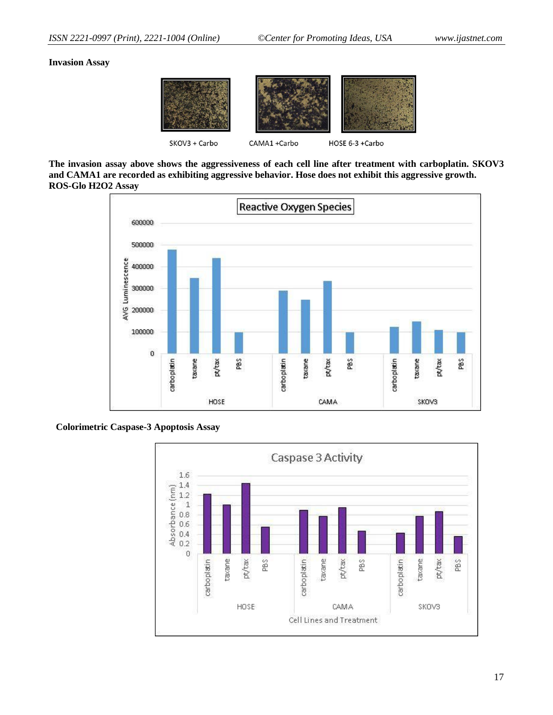#### **Invasion Assay**



**The invasion assay above shows the aggressiveness of each cell line after treatment with carboplatin. SKOV3 and CAMA1 are recorded as exhibiting aggressive behavior. Hose does not exhibit this aggressive growth. ROS-Glo H2O2 Assay**



## **Colorimetric Caspase-3 Apoptosis Assay**

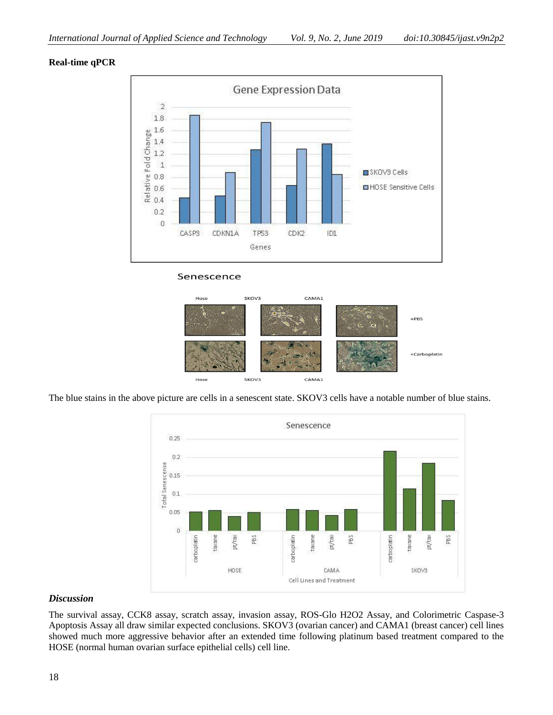## **Real-time qPCR**







The blue stains in the above picture are cells in a senescent state. SKOV3 cells have a notable number of blue stains.



## *Discussion*

The survival assay, CCK8 assay, scratch assay, invasion assay, ROS-Glo H2O2 Assay, and Colorimetric Caspase-3 Apoptosis Assay all draw similar expected conclusions. SKOV3 (ovarian cancer) and CAMA1 (breast cancer) cell lines showed much more aggressive behavior after an extended time following platinum based treatment compared to the HOSE (normal human ovarian surface epithelial cells) cell line.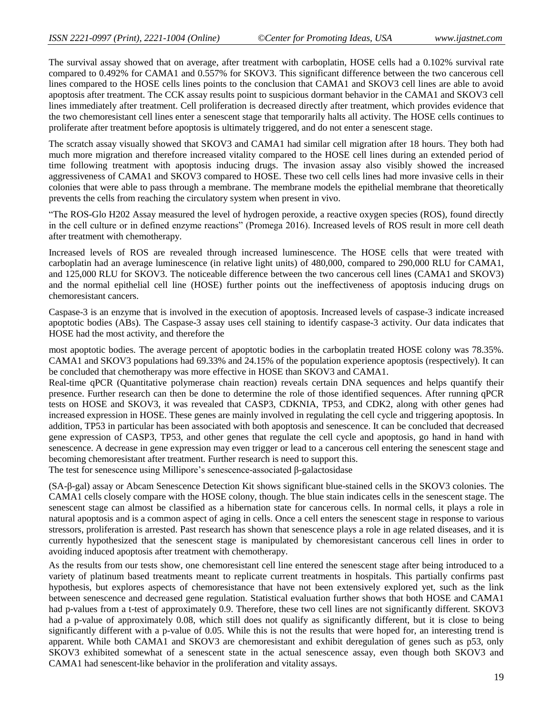The survival assay showed that on average, after treatment with carboplatin, HOSE cells had a 0.102% survival rate compared to 0.492% for CAMA1 and 0.557% for SKOV3. This significant difference between the two cancerous cell lines compared to the HOSE cells lines points to the conclusion that CAMA1 and SKOV3 cell lines are able to avoid apoptosis after treatment. The CCK assay results point to suspicious dormant behavior in the CAMA1 and SKOV3 cell lines immediately after treatment. Cell proliferation is decreased directly after treatment, which provides evidence that the two chemoresistant cell lines enter a senescent stage that temporarily halts all activity. The HOSE cells continues to proliferate after treatment before apoptosis is ultimately triggered, and do not enter a senescent stage.

The scratch assay visually showed that SKOV3 and CAMA1 had similar cell migration after 18 hours. They both had much more migration and therefore increased vitality compared to the HOSE cell lines during an extended period of time following treatment with apoptosis inducing drugs. The invasion assay also visibly showed the increased aggressiveness of CAMA1 and SKOV3 compared to HOSE. These two cell cells lines had more invasive cells in their colonies that were able to pass through a membrane. The membrane models the epithelial membrane that theoretically prevents the cells from reaching the circulatory system when present in vivo.

"The ROS-Glo H202 Assay measured the level of hydrogen peroxide, a reactive oxygen species (ROS), found directly in the cell culture or in defined enzyme reactions" (Promega 2016). Increased levels of ROS result in more cell death after treatment with chemotherapy.

Increased levels of ROS are revealed through increased luminescence. The HOSE cells that were treated with carboplatin had an average luminescence (in relative light units) of 480,000, compared to 290,000 RLU for CAMA1, and 125,000 RLU for SKOV3. The noticeable difference between the two cancerous cell lines (CAMA1 and SKOV3) and the normal epithelial cell line (HOSE) further points out the ineffectiveness of apoptosis inducing drugs on chemoresistant cancers.

Caspase-3 is an enzyme that is involved in the execution of apoptosis. Increased levels of caspase-3 indicate increased apoptotic bodies (ABs). The Caspase-3 assay uses cell staining to identify caspase-3 activity. Our data indicates that HOSE had the most activity, and therefore the

most apoptotic bodies. The average percent of apoptotic bodies in the carboplatin treated HOSE colony was 78.35%. CAMA1 and SKOV3 populations had 69.33% and 24.15% of the population experience apoptosis (respectively). It can be concluded that chemotherapy was more effective in HOSE than SKOV3 and CAMA1.

Real-time qPCR (Quantitative polymerase chain reaction) reveals certain DNA sequences and helps quantify their presence. Further research can then be done to determine the role of those identified sequences. After running qPCR tests on HOSE and SKOV3, it was revealed that CASP3, CDKNIA, TP53, and CDK2, along with other genes had increased expression in HOSE. These genes are mainly involved in regulating the cell cycle and triggering apoptosis. In addition, TP53 in particular has been associated with both apoptosis and senescence. It can be concluded that decreased gene expression of CASP3, TP53, and other genes that regulate the cell cycle and apoptosis, go hand in hand with senescence. A decrease in gene expression may even trigger or lead to a cancerous cell entering the senescent stage and becoming chemoresistant after treatment. Further research is need to support this.

The test for senescence using Millipore's senescence-associated β-galactosidase

(SA-β-gal) assay or Abcam Senescence Detection Kit shows significant blue-stained cells in the SKOV3 colonies. The CAMA1 cells closely compare with the HOSE colony, though. The blue stain indicates cells in the senescent stage. The senescent stage can almost be classified as a hibernation state for cancerous cells. In normal cells, it plays a role in natural apoptosis and is a common aspect of aging in cells. Once a cell enters the senescent stage in response to various stressors, proliferation is arrested. Past research has shown that senescence plays a role in age related diseases, and it is currently hypothesized that the senescent stage is manipulated by chemoresistant cancerous cell lines in order to avoiding induced apoptosis after treatment with chemotherapy.

As the results from our tests show, one chemoresistant cell line entered the senescent stage after being introduced to a variety of platinum based treatments meant to replicate current treatments in hospitals. This partially confirms past hypothesis, but explores aspects of chemoresistance that have not been extensively explored yet, such as the link between senescence and decreased gene regulation. Statistical evaluation further shows that both HOSE and CAMA1 had p-values from a t-test of approximately 0.9. Therefore, these two cell lines are not significantly different. SKOV3 had a p-value of approximately 0.08, which still does not qualify as significantly different, but it is close to being significantly different with a p-value of 0.05. While this is not the results that were hoped for, an interesting trend is apparent. While both CAMA1 and SKOV3 are chemoresistant and exhibit deregulation of genes such as p53, only SKOV3 exhibited somewhat of a senescent state in the actual senescence assay, even though both SKOV3 and CAMA1 had senescent-like behavior in the proliferation and vitality assays.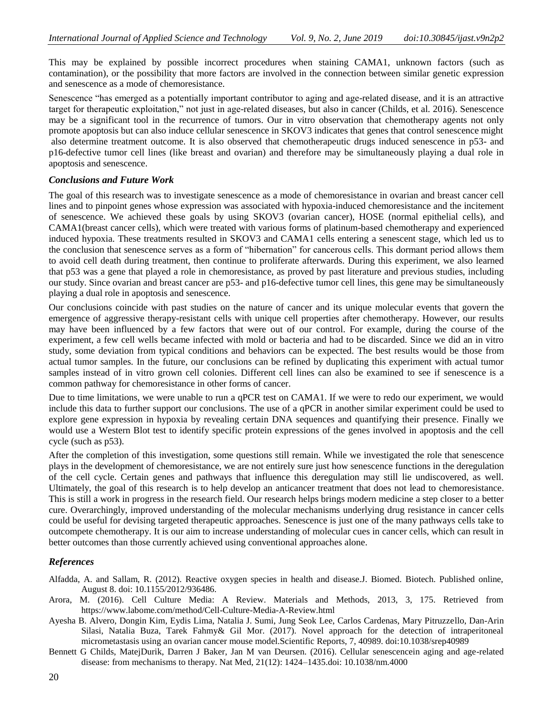This may be explained by possible incorrect procedures when staining CAMA1, unknown factors (such as contamination), or the possibility that more factors are involved in the connection between similar genetic expression and senescence as a mode of chemoresistance.

Senescence "has emerged as a potentially important contributor to aging and age-related disease, and it is an attractive target for therapeutic exploitation," not just in age-related diseases, but also in cancer (Childs, et al. 2016). Senescence may be a significant tool in the recurrence of tumors. Our in vitro observation that chemotherapy agents not only promote apoptosis but can also induce cellular senescence in SKOV3 indicates that genes that control senescence might also determine treatment outcome. It is also observed that chemotherapeutic drugs induced senescence in p53- and p16-defective tumor cell lines (like breast and ovarian) and therefore may be simultaneously playing a dual role in apoptosis and senescence.

#### *Conclusions and Future Work*

The goal of this research was to investigate senescence as a mode of chemoresistance in ovarian and breast cancer cell lines and to pinpoint genes whose expression was associated with hypoxia-induced chemoresistance and the incitement of senescence. We achieved these goals by using SKOV3 (ovarian cancer), HOSE (normal epithelial cells), and CAMA1(breast cancer cells), which were treated with various forms of platinum-based chemotherapy and experienced induced hypoxia. These treatments resulted in SKOV3 and CAMA1 cells entering a senescent stage, which led us to the conclusion that senescence serves as a form of "hibernation" for cancerous cells. This dormant period allows them to avoid cell death during treatment, then continue to proliferate afterwards. During this experiment, we also learned that p53 was a gene that played a role in chemoresistance, as proved by past literature and previous studies, including our study. Since ovarian and breast cancer are p53- and p16-defective tumor cell lines, this gene may be simultaneously playing a dual role in apoptosis and senescence.

Our conclusions coincide with past studies on the nature of cancer and its unique molecular events that govern the emergence of aggressive therapy-resistant cells with unique cell properties after chemotherapy. However, our results may have been influenced by a few factors that were out of our control. For example, during the course of the experiment, a few cell wells became infected with mold or bacteria and had to be discarded. Since we did an in vitro study, some deviation from typical conditions and behaviors can be expected. The best results would be those from actual tumor samples. In the future, our conclusions can be refined by duplicating this experiment with actual tumor samples instead of in vitro grown cell colonies. Different cell lines can also be examined to see if senescence is a common pathway for chemoresistance in other forms of cancer.

Due to time limitations, we were unable to run a qPCR test on CAMA1. If we were to redo our experiment, we would include this data to further support our conclusions. The use of a qPCR in another similar experiment could be used to explore gene expression in hypoxia by revealing certain DNA sequences and quantifying their presence. Finally we would use a Western Blot test to identify specific protein expressions of the genes involved in apoptosis and the cell cycle (such as p53).

After the completion of this investigation, some questions still remain. While we investigated the role that senescence plays in the development of chemoresistance, we are not entirely sure just how senescence functions in the deregulation of the cell cycle. Certain genes and pathways that influence this deregulation may still lie undiscovered, as well. Ultimately, the goal of this research is to help develop an anticancer treatment that does not lead to chemoresistance. This is still a work in progress in the research field. Our research helps brings modern medicine a step closer to a better cure. Overarchingly, improved understanding of the molecular mechanisms underlying drug resistance in cancer cells could be useful for devising targeted therapeutic approaches. Senescence is just one of the many pathways cells take to outcompete chemotherapy. It is our aim to increase understanding of molecular cues in cancer cells, which can result in better outcomes than those currently achieved using conventional approaches alone.

## *References*

- Alfadda, A. and Sallam, R. (2012). Reactive oxygen species in health and disease.J. Biomed. Biotech. Published online, August 8. doi: 10.1155/2012/936486.
- Arora, M. (2016). Cell Culture Media: A Review. Materials and Methods, 2013, 3, 175. Retrieved from https://www.labome.com/method/Cell-Culture-Media-A-Review.html
- Ayesha B. Alvero, Dongin Kim, Eydis Lima, Natalia J. Sumi, Jung Seok Lee, Carlos Cardenas, Mary Pitruzzello, Dan-Arin Silasi, Natalia Buza, Tarek Fahmy& Gil Mor. (2017). Novel approach for the detection of intraperitoneal micrometastasis using an ovarian cancer mouse model.Scientific Reports, 7, 40989. doi:10.1038/srep40989
- Bennett G Childs, MatejDurik, Darren J Baker, Jan M van Deursen. (2016). Cellular senescencein aging and age-related disease: from mechanisms to therapy. Nat Med, 21(12): 1424–1435.doi: 10.1038/nm.4000